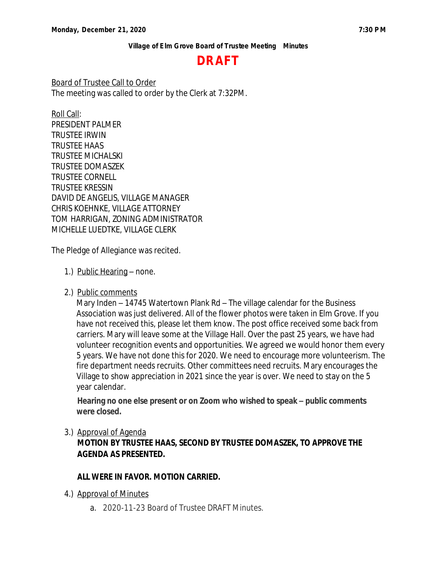# **DRAFT**

Board of Trustee Call to Order The meeting was called to order by the Clerk at 7:32PM.

Roll Call: PRESIDENT PALMER TRUSTEE IRWIN TRUSTEE HAAS TRUSTEE MICHALSKI TRUSTEE DOMASZEK TRUSTEE CORNELL TRUSTEE KRESSIN DAVID DE ANGELIS, VILLAGE MANAGER CHRIS KOEHNKE, VILLAGE ATTORNEY TOM HARRIGAN, ZONING ADMINISTRATOR MICHELLE LUEDTKE, VILLAGE CLERK

The Pledge of Allegiance was recited.

- 1.) Public Hearing none.
- 2.) Public comments

Mary Inden – 14745 Watertown Plank Rd – The village calendar for the Business Association was just delivered. All of the flower photos were taken in Elm Grove. If you have not received this, please let them know. The post office received some back from carriers. Mary will leave some at the Village Hall. Over the past 25 years, we have had volunteer recognition events and opportunities. We agreed we would honor them every 5 years. We have not done this for 2020. We need to encourage more volunteerism. The fire department needs recruits. Other committees need recruits. Mary encourages the Village to show appreciation in 2021 since the year is over. We need to stay on the 5 year calendar.

**Hearing no one else present or on Zoom who wished to speak – public comments were closed.** 

#### 3.) Approval of Agenda

**MOTION BY TRUSTEE HAAS, SECOND BY TRUSTEE DOMASZEK, TO APPROVE THE AGENDA AS PRESENTED.**

#### **ALL WERE IN FAVOR. MOTION CARRIED.**

- 4.) Approval of Minutes
	- a. 2020-11-23 Board of Trustee DRAFT Minutes.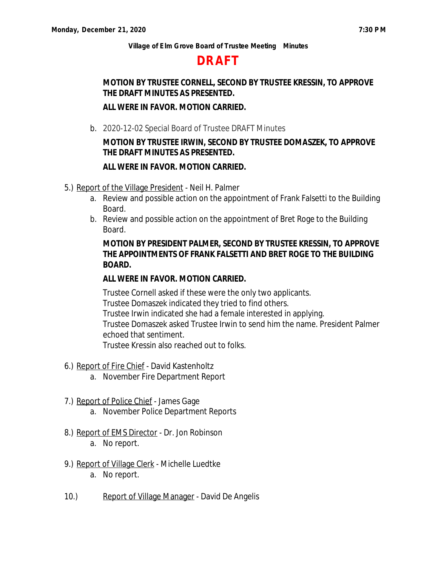## **DRAFT**

## **MOTION BY TRUSTEE CORNELL, SECOND BY TRUSTEE KRESSIN, TO APPROVE THE DRAFT MINUTES AS PRESENTED.**

#### **ALL WERE IN FAVOR. MOTION CARRIED.**

b. 2020-12-02 Special Board of Trustee DRAFT Minutes

## **MOTION BY TRUSTEE IRWIN, SECOND BY TRUSTEE DOMASZEK, TO APPROVE THE DRAFT MINUTES AS PRESENTED.**

#### **ALL WERE IN FAVOR. MOTION CARRIED.**

- 5.) Report of the Village President Neil H. Palmer
	- a. Review and possible action on the appointment of Frank Falsetti to the Building Board.
	- b. Review and possible action on the appointment of Bret Roge to the Building Board.

### **MOTION BY PRESIDENT PALMER, SECOND BY TRUSTEE KRESSIN, TO APPROVE THE APPOINTMENTS OF FRANK FALSETTI AND BRET ROGE TO THE BUILDING BOARD.**

#### **ALL WERE IN FAVOR. MOTION CARRIED.**

Trustee Cornell asked if these were the only two applicants. Trustee Domaszek indicated they tried to find others. Trustee Irwin indicated she had a female interested in applying. Trustee Domaszek asked Trustee Irwin to send him the name. President Palmer echoed that sentiment. Trustee Kressin also reached out to folks.

- 6.) Report of Fire Chief David Kastenholtz
	- a. November Fire Department Report
- 7.) Report of Police Chief James Gage
	- a. November Police Department Reports
- 8.) Report of EMS Director Dr. Jon Robinson
	- a. No report.
- 9.) Report of Village Clerk Michelle Luedtke
	- a. No report.
- 10.) Report of Village Manager David De Angelis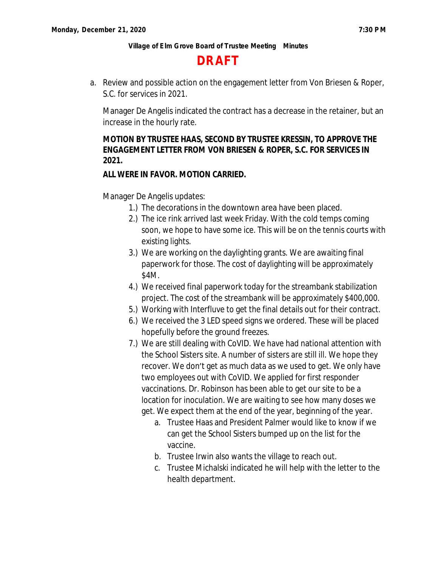## **DRAFT**

a. Review and possible action on the engagement letter from Von Briesen & Roper, S.C. for services in 2021.

Manager De Angelis indicated the contract has a decrease in the retainer, but an increase in the hourly rate.

## **MOTION BY TRUSTEE HAAS, SECOND BY TRUSTEE KRESSIN, TO APPROVE THE ENGAGEMENT LETTER FROM VON BRIESEN & ROPER, S.C. FOR SERVICES IN 2021.**

## **ALL WERE IN FAVOR. MOTION CARRIED.**

Manager De Angelis updates:

- 1.) The decorations in the downtown area have been placed.
- 2.) The ice rink arrived last week Friday. With the cold temps coming soon, we hope to have some ice. This will be on the tennis courts with existing lights.
- 3.) We are working on the daylighting grants. We are awaiting final paperwork for those. The cost of daylighting will be approximately \$4M.
- 4.) We received final paperwork today for the streambank stabilization project. The cost of the streambank will be approximately \$400,000.
- 5.) Working with Interfluve to get the final details out for their contract.
- 6.) We received the 3 LED speed signs we ordered. These will be placed hopefully before the ground freezes.
- 7.) We are still dealing with CoVID. We have had national attention with the School Sisters site. A number of sisters are still ill. We hope they recover. We don't get as much data as we used to get. We only have two employees out with CoVID. We applied for first responder vaccinations. Dr. Robinson has been able to get our site to be a location for inoculation. We are waiting to see how many doses we get. We expect them at the end of the year, beginning of the year.
	- a. Trustee Haas and President Palmer would like to know if we can get the School Sisters bumped up on the list for the vaccine.
	- b. Trustee Irwin also wants the village to reach out.
	- c. Trustee Michalski indicated he will help with the letter to the health department.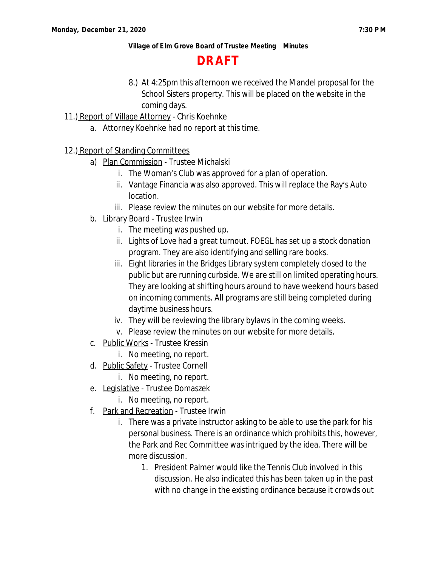**DRAFT**

- 8.) At 4:25pm this afternoon we received the Mandel proposal for the School Sisters property. This will be placed on the website in the coming days.
- 11.) Report of Village Attorney Chris Koehnke
	- a. Attorney Koehnke had no report at this time.

## 12.) Report of Standing Committees

- a) Plan Commission Trustee Michalski
	- i. The Woman's Club was approved for a plan of operation.
	- ii. Vantage Financia was also approved. This will replace the Ray's Auto location.
	- iii. Please review the minutes on our website for more details.
- b. Library Board Trustee Irwin
	- i. The meeting was pushed up.
	- ii. Lights of Love had a great turnout. FOEGL has set up a stock donation program. They are also identifying and selling rare books.
	- iii. Eight libraries in the Bridges Library system completely closed to the public but are running curbside. We are still on limited operating hours. They are looking at shifting hours around to have weekend hours based on incoming comments. All programs are still being completed during daytime business hours.
	- iv. They will be reviewing the library bylaws in the coming weeks.
	- v. Please review the minutes on our website for more details.
- c. Public Works Trustee Kressin
	- i. No meeting, no report.
- d. Public Safety Trustee Cornell
	- i. No meeting, no report.
- e. Legislative Trustee Domaszek i. No meeting, no report.
- f. Park and Recreation Trustee Irwin
	- i. There was a private instructor asking to be able to use the park for his personal business. There is an ordinance which prohibits this, however, the Park and Rec Committee was intrigued by the idea. There will be more discussion.
		- 1. President Palmer would like the Tennis Club involved in this discussion. He also indicated this has been taken up in the past with no change in the existing ordinance because it crowds out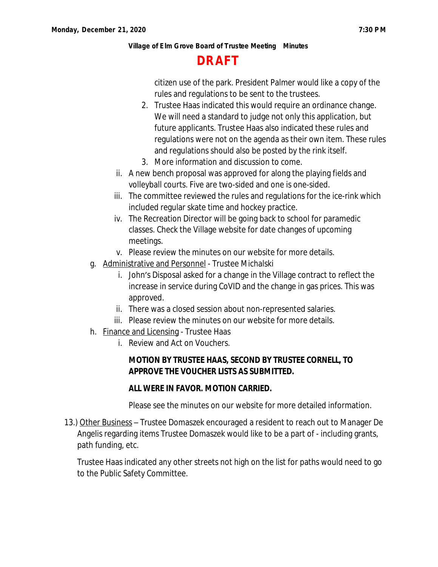# **DRAFT**

citizen use of the park. President Palmer would like a copy of the rules and regulations to be sent to the trustees.

- 2. Trustee Haas indicated this would require an ordinance change. We will need a standard to judge not only this application, but future applicants. Trustee Haas also indicated these rules and regulations were not on the agenda as their own item. These rules and regulations should also be posted by the rink itself.
- 3. More information and discussion to come.
- ii. A new bench proposal was approved for along the playing fields and volleyball courts. Five are two-sided and one is one-sided.
- iii. The committee reviewed the rules and regulations for the ice-rink which included regular skate time and hockey practice.
- iv. The Recreation Director will be going back to school for paramedic classes. Check the Village website for date changes of upcoming meetings.
- v. Please review the minutes on our website for more details.
- g. Administrative and Personnel Trustee Michalski
	- i. John's Disposal asked for a change in the Village contract to reflect the increase in service during CoVID and the change in gas prices. This was approved.
	- ii. There was a closed session about non-represented salaries.
	- iii. Please review the minutes on our website for more details.
- h. Finance and Licensing Trustee Haas
	- i. Review and Act on Vouchers.

## **MOTION BY TRUSTEE HAAS, SECOND BY TRUSTEE CORNELL, TO APPROVE THE VOUCHER LISTS AS SUBMITTED.**

#### **ALL WERE IN FAVOR. MOTION CARRIED.**

Please see the minutes on our website for more detailed information.

13.) Other Business - Trustee Domaszek encouraged a resident to reach out to Manager De Angelis regarding items Trustee Domaszek would like to be a part of - including grants, path funding, etc.

Trustee Haas indicated any other streets not high on the list for paths would need to go to the Public Safety Committee.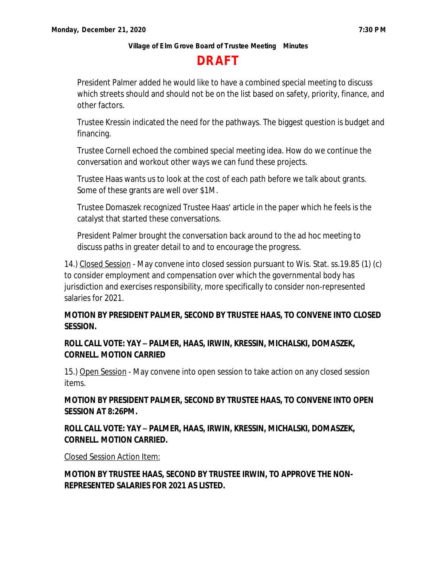# **DRAFT**

President Palmer added he would like to have a combined special meeting to discuss which streets should and should not be on the list based on safety, priority, finance, and other factors.

Trustee Kressin indicated the need for the pathways. The biggest question is budget and financing.

Trustee Cornell echoed the combined special meeting idea. How do we continue the conversation and workout other ways we can fund these projects.

Trustee Haas wants us to look at the cost of each path before we talk about grants. Some of these grants are well over \$1M.

Trustee Domaszek recognized Trustee Haas' article in the paper which he feels is the catalyst that started these conversations.

President Palmer brought the conversation back around to the ad hoc meeting to discuss paths in greater detail to and to encourage the progress.

14.) Closed Session - May convene into closed session pursuant to Wis. Stat. ss.19.85 (1) (c) to consider employment and compensation over which the governmental body has jurisdiction and exercises responsibility, more specifically to consider non-represented salaries for 2021.

### **MOTION BY PRESIDENT PALMER, SECOND BY TRUSTEE HAAS, TO CONVENE INTO CLOSED SESSION.**

## **ROLL CALL VOTE: YAY – PALMER, HAAS, IRWIN, KRESSIN, MICHALSKI, DOMASZEK, CORNELL. MOTION CARRIED**

15.) Open Session - May convene into open session to take action on any closed session items.

**MOTION BY PRESIDENT PALMER, SECOND BY TRUSTEE HAAS, TO CONVENE INTO OPEN SESSION AT 8:26PM.**

## **ROLL CALL VOTE: YAY – PALMER, HAAS, IRWIN, KRESSIN, MICHALSKI, DOMASZEK, CORNELL. MOTION CARRIED.**

Closed Session Action Item:

**MOTION BY TRUSTEE HAAS, SECOND BY TRUSTEE IRWIN, TO APPROVE THE NON-REPRESENTED SALARIES FOR 2021 AS LISTED.**